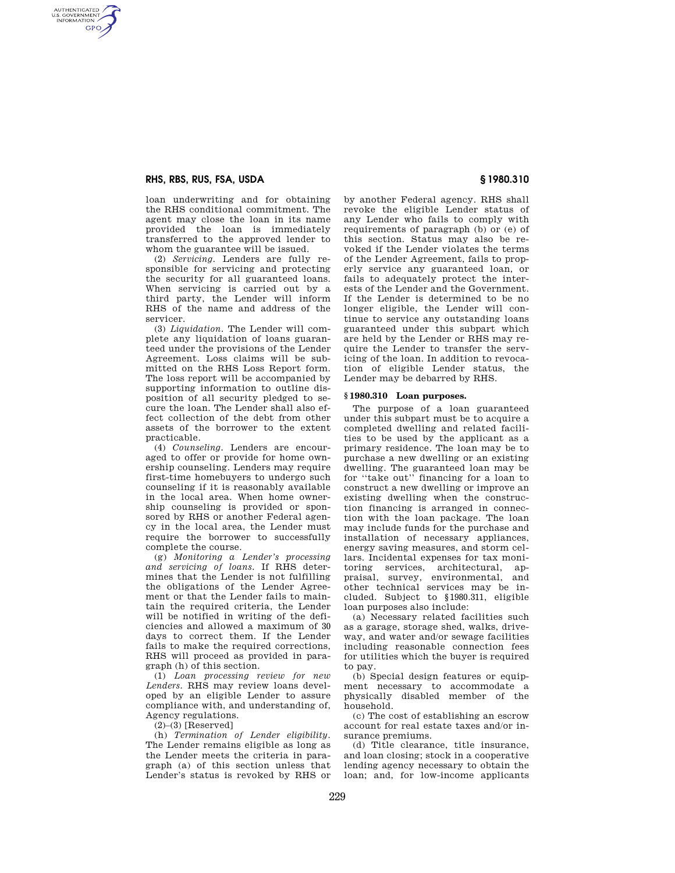## **RHS, RBS, RUS, FSA, USDA § 1980.310**

AUTHENTICATED<br>U.S. GOVERNMENT<br>INFORMATION **GPO** 

> loan underwriting and for obtaining the RHS conditional commitment. The agent may close the loan in its name provided the loan is immediately transferred to the approved lender to whom the guarantee will be issued.

> (2) *Servicing.* Lenders are fully responsible for servicing and protecting the security for all guaranteed loans. When servicing is carried out by a third party, the Lender will inform RHS of the name and address of the servicer.

> (3) *Liquidation.* The Lender will complete any liquidation of loans guaranteed under the provisions of the Lender Agreement. Loss claims will be submitted on the RHS Loss Report form. The loss report will be accompanied by supporting information to outline disposition of all security pledged to secure the loan. The Lender shall also effect collection of the debt from other assets of the borrower to the extent practicable.

> (4) *Counseling.* Lenders are encouraged to offer or provide for home ownership counseling. Lenders may require first-time homebuyers to undergo such counseling if it is reasonably available in the local area. When home ownership counseling is provided or sponsored by RHS or another Federal agency in the local area, the Lender must require the borrower to successfully complete the course.

> (g) *Monitoring a Lender's processing and servicing of loans.* If RHS determines that the Lender is not fulfilling the obligations of the Lender Agreement or that the Lender fails to maintain the required criteria, the Lender will be notified in writing of the deficiencies and allowed a maximum of 30 days to correct them. If the Lender fails to make the required corrections, RHS will proceed as provided in paragraph (h) of this section.

> (1) *Loan processing review for new Lenders.* RHS may review loans developed by an eligible Lender to assure compliance with, and understanding of, Agency regulations.

 $(2)$ – $(3)$  [Reserved]

(h) *Termination of Lender eligibility.*  The Lender remains eligible as long as the Lender meets the criteria in paragraph (a) of this section unless that Lender's status is revoked by RHS or by another Federal agency. RHS shall revoke the eligible Lender status of any Lender who fails to comply with requirements of paragraph (b) or (e) of this section. Status may also be revoked if the Lender violates the terms of the Lender Agreement, fails to properly service any guaranteed loan, or fails to adequately protect the interests of the Lender and the Government. If the Lender is determined to be no longer eligible, the Lender will continue to service any outstanding loans guaranteed under this subpart which are held by the Lender or RHS may require the Lender to transfer the servicing of the loan. In addition to revocation of eligible Lender status, the Lender may be debarred by RHS.

#### **§ 1980.310 Loan purposes.**

The purpose of a loan guaranteed under this subpart must be to acquire a completed dwelling and related facilities to be used by the applicant as a primary residence. The loan may be to purchase a new dwelling or an existing dwelling. The guaranteed loan may be for ''take out'' financing for a loan to construct a new dwelling or improve an existing dwelling when the construction financing is arranged in connection with the loan package. The loan may include funds for the purchase and installation of necessary appliances, energy saving measures, and storm cellars. Incidental expenses for tax monitoring services, architectural, appraisal, survey, environmental, and other technical services may be included. Subject to §1980.311, eligible loan purposes also include:

(a) Necessary related facilities such as a garage, storage shed, walks, driveway, and water and/or sewage facilities including reasonable connection fees for utilities which the buyer is required to pay.

(b) Special design features or equipment necessary to accommodate a physically disabled member of the household.

(c) The cost of establishing an escrow account for real estate taxes and/or insurance premiums.

(d) Title clearance, title insurance, and loan closing; stock in a cooperative lending agency necessary to obtain the loan; and, for low-income applicants